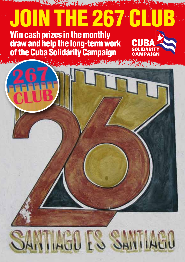## The Committee of the Committee of the Committee of the Committee of the Committee of the Committee of the Committee of the Committee of the Committee of the Committee of the Committee of the Committee of the Committee of t JOIN THE 267 CL Win cash prizes in the monthly draw and help the long-term work of the Cuba Solidarity Campaign

## **TIAGO ES SANTIAGO**